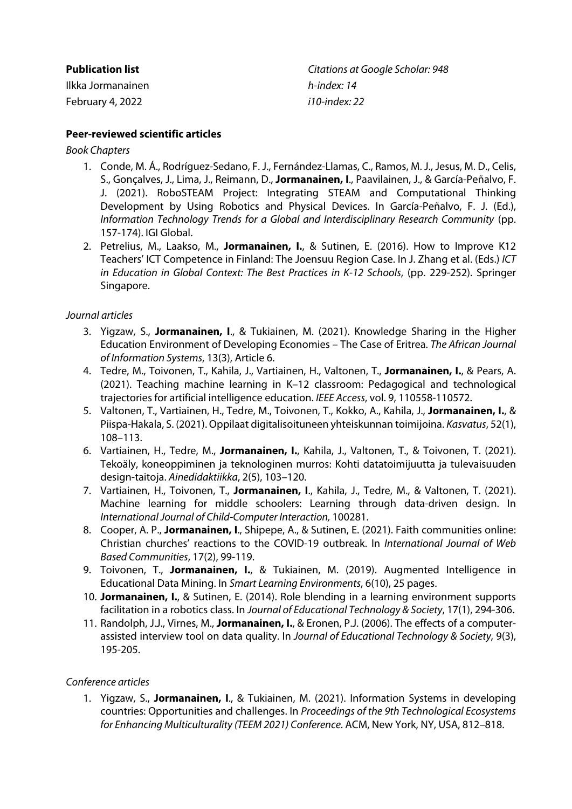| <b>Publication list</b> | Citations at Google Scholar: 948 |
|-------------------------|----------------------------------|
| Ilkka Jormanainen       | h-index: 14                      |
| February 4, 2022        | <i>i</i> 10-index: 22            |

# **Peer-reviewed scientific articles**

*Book Chapters*

- 1. Conde, M. Á., Rodríguez-Sedano, F. J., Fernández-Llamas, C., Ramos, M. J., Jesus, M. D., Celis, S., Gonçalves, J., Lima, J., Reimann, D., **Jormanainen, I**., Paavilainen, J., & García-Peñalvo, F. J. (2021). RoboSTEAM Project: Integrating STEAM and Computational Thinking Development by Using Robotics and Physical Devices. In García-Peñalvo, F. J. (Ed.), *Information Technology Trends for a Global and Interdisciplinary Research Community* (pp. 157-174). IGI Global.
- 2. Petrelius, M., Laakso, M., **Jormanainen, I.**, & Sutinen, E. (2016). How to Improve K12 Teachers' ICT Competence in Finland: The Joensuu Region Case. In J. Zhang et al. (Eds.) *ICT in Education in Global Context: The Best Practices in K-12 Schools*, (pp. 229-252). Springer Singapore.

## *Journal articles*

- 3. Yigzaw, S., **Jormanainen, I**., & Tukiainen, M. (2021). Knowledge Sharing in the Higher Education Environment of Developing Economies – The Case of Eritrea. *The African Journal of Information Systems*, 13(3), Article 6.
- 4. Tedre, M., Toivonen, T., Kahila, J., Vartiainen, H., Valtonen, T., **Jormanainen, I.**, & Pears, A. (2021). Teaching machine learning in K–12 classroom: Pedagogical and technological trajectories for artificial intelligence education. *IEEE Access*, vol. 9, 110558-110572.
- 5. Valtonen, T., Vartiainen, H., Tedre, M., Toivonen, T., Kokko, A., Kahila, J., **Jormanainen, I.**, & Piispa-Hakala, S. (2021). Oppilaat digitalisoituneen yhteiskunnan toimijoina. *Kasvatus*, 52(1), 108–113.
- 6. Vartiainen, H., Tedre, M., **Jormanainen, I.**, Kahila, J., Valtonen, T., & Toivonen, T. (2021). Tekoäly, koneoppiminen ja teknologinen murros: Kohti datatoimijuutta ja tulevaisuuden design-taitoja. *Ainedidaktiikka*, 2(5), 103–120.
- 7. Vartiainen, H., Toivonen, T., **Jormanainen, I**., Kahila, J., Tedre, M., & Valtonen, T. (2021). Machine learning for middle schoolers: Learning through data-driven design. In *International Journal of Child-Computer Interaction,* 100281.
- 8. Cooper, A. P., **Jormanainen, I**., Shipepe, A., & Sutinen, E. (2021). Faith communities online: Christian churches' reactions to the COVID-19 outbreak. In *International Journal of Web Based Communities*, 17(2), 99-119.
- 9. Toivonen, T., **Jormanainen, I.**, & Tukiainen, M. (2019). Augmented Intelligence in Educational Data Mining. In *Smart Learning Environments*, 6(10), 25 pages.
- 10. **Jormanainen, I.**, & Sutinen, E. (2014). Role blending in a learning environment supports facilitation in a robotics class. In *Journal of Educational Technology & Society*, 17(1), 294-306.
- 11. Randolph, J.J., Virnes, M., **Jormanainen, I.**, & Eronen, P.J. (2006). The effects of a computerassisted interview tool on data quality. In *Journal of Educational Technology & Society*, 9(3), 195-205.

### *Conference articles*

1. Yigzaw, S., **Jormanainen, I**., & Tukiainen, M. (2021). Information Systems in developing countries: Opportunities and challenges. In *Proceedings of the 9th Technological Ecosystems for Enhancing Multiculturality (TEEM 2021) Conference*. ACM, New York, NY, USA, 812–818.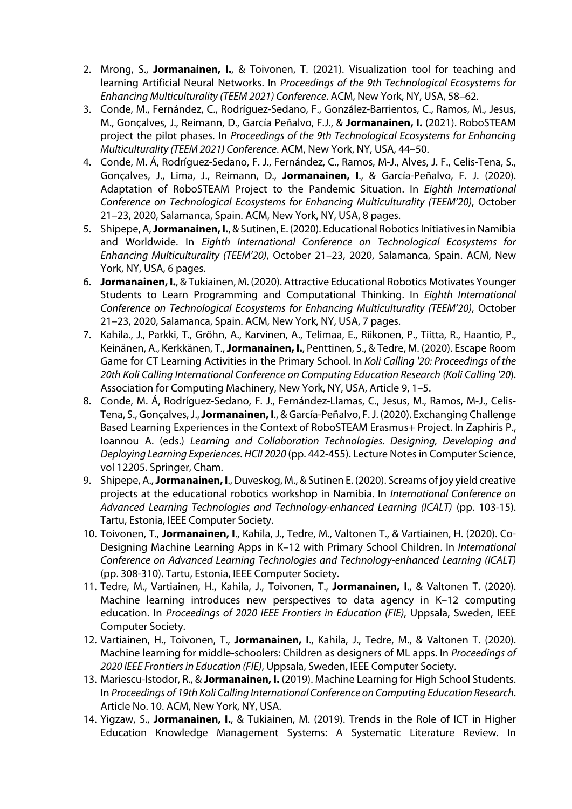- 2. Mrong, S., **Jormanainen, I.**, & Toivonen, T. (2021). Visualization tool for teaching and learning Artificial Neural Networks. In *Proceedings of the 9th Technological Ecosystems for Enhancing Multiculturality (TEEM 2021) Conference*. ACM, New York, NY, USA, 58–62.
- 3. Conde, M., Fernández, C., Rodríguez-Sedano, F., González-Barrientos, C., Ramos, M., Jesus, M., Gonçalves, J., Reimann, D., García Peñalvo, F.J., & **Jormanainen, I.** (2021). RoboSTEAM project the pilot phases. In *Proceedings of the 9th Technological Ecosystems for Enhancing Multiculturality (TEEM 2021) Conference*. ACM, New York, NY, USA, 44–50.
- 4. Conde, M. Á, Rodríguez-Sedano, F. J., Fernández, C., Ramos, M-J., Alves, J. F., Celis-Tena, S., Gonçalves, J., Lima, J., Reimann, D., **Jormanainen, I**., & García-Peñalvo, F. J. (2020). Adaptation of RoboSTEAM Project to the Pandemic Situation. In *Eighth International Conference on Technological Ecosystems for Enhancing Multiculturality (TEEM'20)*, October 21–23, 2020, Salamanca, Spain. ACM, New York, NY, USA, 8 pages.
- 5. Shipepe, A, **Jormanainen, I.**, & Sutinen, E. (2020). Educational Robotics Initiatives in Namibia and Worldwide. In *Eighth International Conference on Technological Ecosystems for Enhancing Multiculturality (TEEM'20)*, October 21–23, 2020, Salamanca, Spain. ACM, New York, NY, USA, 6 pages.
- 6. **Jormanainen, I.**, & Tukiainen, M. (2020). Attractive Educational Robotics Motivates Younger Students to Learn Programming and Computational Thinking. In *Eighth International Conference on Technological Ecosystems for Enhancing Multiculturality (TEEM'20)*, October 21–23, 2020, Salamanca, Spain. ACM, New York, NY, USA, 7 pages.
- 7. Kahila., J., Parkki, T., Gröhn, A., Karvinen, A., Telimaa, E., Riikonen, P., Tiitta, R., Haantio, P., Keinänen, A., Kerkkänen, T., **Jormanainen, I.**, Penttinen, S., & Tedre, M. (2020). Escape Room Game for CT Learning Activities in the Primary School. In *Koli Calling '20: Proceedings of the 20th Koli Calling International Conference on Computing Education Research (Koli Calling '20*). Association for Computing Machinery, New York, NY, USA, Article 9, 1–5.
- 8. Conde, M. Á, Rodríguez-Sedano, F. J., Fernández-Llamas, C., Jesus, M., Ramos, M-J., Celis-Tena, S., Gonçalves, J., **Jormanainen, I**., & García-Peñalvo, F. J. (2020). Exchanging Challenge Based Learning Experiences in the Context of RoboSTEAM Erasmus+ Project. In Zaphiris P., Ioannou A. (eds.) *Learning and Collaboration Technologies. Designing, Developing and Deploying Learning Experiences. HCII 2020* (pp. 442-455). Lecture Notes in Computer Science, vol 12205. Springer, Cham.
- 9. Shipepe, A., **Jormanainen, I**., Duveskog, M., & Sutinen E. (2020). Screams of joy yield creative projects at the educational robotics workshop in Namibia. In *International Conference on Advanced Learning Technologies and Technology-enhanced Learning (ICALT)* (pp. 103-15). Tartu, Estonia, IEEE Computer Society.
- 10. Toivonen, T., **Jormanainen, I**., Kahila, J., Tedre, M., Valtonen T., & Vartiainen, H. (2020). Co-Designing Machine Learning Apps in K–12 with Primary School Children. In *International Conference on Advanced Learning Technologies and Technology-enhanced Learning (ICALT)* (pp. 308-310). Tartu, Estonia, IEEE Computer Society.
- 11. Tedre, M., Vartiainen, H., Kahila, J., Toivonen, T., **Jormanainen, I**., & Valtonen T. (2020). Machine learning introduces new perspectives to data agency in K–12 computing education. In *Proceedings of 2020 IEEE Frontiers in Education (FIE)*, Uppsala, Sweden, IEEE Computer Society.
- 12. Vartiainen, H., Toivonen, T., **Jormanainen, I**., Kahila, J., Tedre, M., & Valtonen T. (2020). Machine learning for middle-schoolers: Children as designers of ML apps. In *Proceedings of 2020 IEEE Frontiers in Education (FIE)*, Uppsala, Sweden, IEEE Computer Society.
- 13. Mariescu-Istodor, R., & **Jormanainen, I.** (2019). Machine Learning for High School Students. In *Proceedings of 19th Koli Calling International Conference on Computing Education Research*. Article No. 10. ACM, New York, NY, USA.
- 14. Yigzaw, S., **Jormanainen, I.**, & Tukiainen, M. (2019). Trends in the Role of ICT in Higher Education Knowledge Management Systems: A Systematic Literature Review. In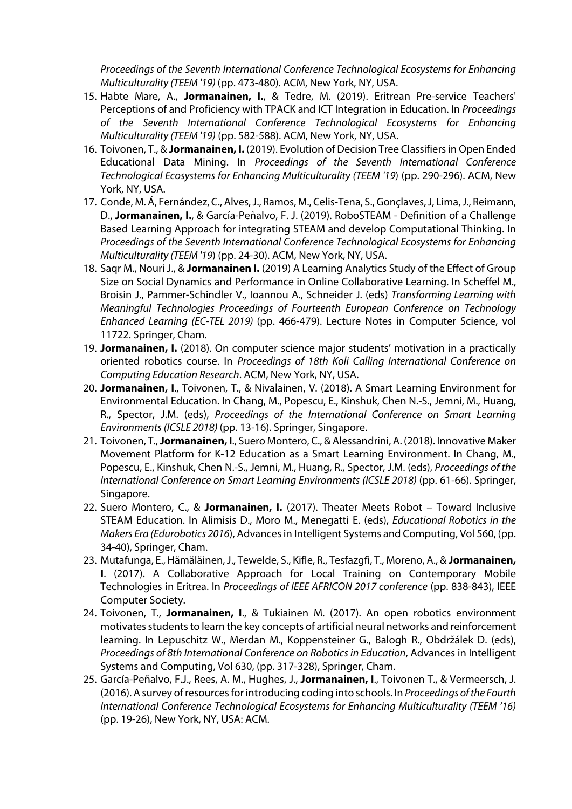*Proceedings of the Seventh International Conference Technological Ecosystems for Enhancing Multiculturality (TEEM '19)* (pp. 473-480). ACM, New York, NY, USA.

- 15. Habte Mare, A., **Jormanainen, I.**, & Tedre, M. (2019). Eritrean Pre-service Teachers' Perceptions of and Proficiency with TPACK and ICT Integration in Education. In *Proceedings of the Seventh International Conference Technological Ecosystems for Enhancing Multiculturality (TEEM '19)* (pp. 582-588). ACM, New York, NY, USA.
- 16. Toivonen, T., & **Jormanainen, I.** (2019). Evolution of Decision Tree Classifiers in Open Ended Educational Data Mining. In *Proceedings of the Seventh International Conference Technological Ecosystems for Enhancing Multiculturality (TEEM '19*) (pp. 290-296). ACM, New York, NY, USA.
- 17. Conde, M. Á, Fernández, C., Alves, J., Ramos, M., Celis-Tena, S., Gonçlaves, J, Lima, J., Reimann, D., **Jormanainen, I.**, & García-Peñalvo, F. J. (2019). RoboSTEAM - Definition of a Challenge Based Learning Approach for integrating STEAM and develop Computational Thinking. In *Proceedings of the Seventh International Conference Technological Ecosystems for Enhancing Multiculturality (TEEM '19*) (pp. 24-30). ACM, New York, NY, USA.
- 18. Saqr M., Nouri J., & **Jormanainen I.** (2019) A Learning Analytics Study of the Effect of Group Size on Social Dynamics and Performance in Online Collaborative Learning. In Scheffel M., Broisin J., Pammer-Schindler V., Ioannou A., Schneider J. (eds) *Transforming Learning with Meaningful Technologies Proceedings of Fourteenth European Conference on Technology Enhanced Learning (EC-TEL 2019)* (pp. 466-479). Lecture Notes in Computer Science, vol 11722. Springer, Cham.
- 19. **Jormanainen, I.** (2018). On computer science major students' motivation in a practically oriented robotics course. In *Proceedings of 18th Koli Calling International Conference on Computing Education Research*. ACM, New York, NY, USA.
- 20. **Jormanainen, I**., Toivonen, T., & Nivalainen, V. (2018). A Smart Learning Environment for Environmental Education. In Chang, M., Popescu, E., Kinshuk, Chen N.-S., Jemni, M., Huang, R., Spector, J.M. (eds), *Proceedings of the International Conference on Smart Learning Environments (ICSLE 2018)* (pp. 13-16). Springer, Singapore.
- 21. Toivonen, T., **Jormanainen, I**., Suero Montero, C., & Alessandrini, A. (2018). Innovative Maker Movement Platform for K-12 Education as a Smart Learning Environment. In Chang, M., Popescu, E., Kinshuk, Chen N.-S., Jemni, M., Huang, R., Spector, J.M. (eds), *Proceedings of the International Conference on Smart Learning Environments (ICSLE 2018)* (pp. 61-66). Springer, Singapore.
- 22. Suero Montero, C., & **Jormanainen, I.** (2017). Theater Meets Robot Toward Inclusive STEAM Education. In Alimisis D., Moro M., Menegatti E. (eds), *Educational Robotics in the Makers Era (Edurobotics 2016*), Advances in Intelligent Systems and Computing, Vol 560, (pp. 34-40), Springer, Cham.
- 23. Mutafunga, E., Hämäläinen, J., Tewelde, S., Kifle, R., Tesfazgfi, T., Moreno, A., & **Jormanainen, I**. (2017). A Collaborative Approach for Local Training on Contemporary Mobile Technologies in Eritrea. In *Proceedings of IEEE AFRICON 2017 conference* (pp. 838-843), IEEE Computer Society.
- 24. Toivonen, T., **Jormanainen, I**., & Tukiainen M. (2017). An open robotics environment motivates students to learn the key concepts of artificial neural networks and reinforcement learning. In Lepuschitz W., Merdan M., Koppensteiner G., Balogh R., Obdržálek D. (eds), *Proceedings of 8th International Conference on Robotics in Education*, Advances in Intelligent Systems and Computing, Vol 630, (pp. 317-328), Springer, Cham.
- 25. García-Peñalvo, F.J., Rees, A. M., Hughes, J., **Jormanainen, I**., Toivonen T., & Vermeersch, J. (2016). A survey of resources for introducing coding into schools. In *Proceedings of the Fourth International Conference Technological Ecosystems for Enhancing Multiculturality (TEEM '16)* (pp. 19-26), New York, NY, USA: ACM.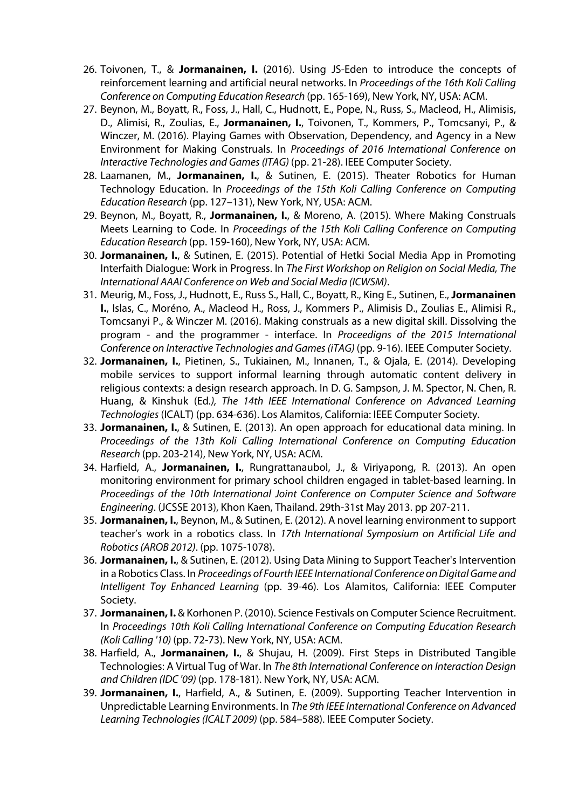- 26. Toivonen, T., & **Jormanainen, I.** (2016). Using JS-Eden to introduce the concepts of reinforcement learning and artificial neural networks. In *Proceedings of the 16th Koli Calling Conference on Computing Education Research* (pp. 165-169), New York, NY, USA: ACM.
- 27. Beynon, M., Boyatt, R., Foss, J., Hall, C., Hudnott, E., Pope, N., Russ, S., Macleod, H., Alimisis, D., Alimisi, R., Zoulias, E., **Jormanainen, I.**, Toivonen, T., Kommers, P., Tomcsanyi, P., & Winczer, M. (2016). Playing Games with Observation, Dependency, and Agency in a New Environment for Making Construals. In *Proceedings of 2016 International Conference on Interactive Technologies and Games (ITAG)* (pp. 21-28). IEEE Computer Society.
- 28. Laamanen, M., **Jormanainen, I.**, & Sutinen, E. (2015). Theater Robotics for Human Technology Education. In *Proceedings of the 15th Koli Calling Conference on Computing Education Research* (pp. 127–131), New York, NY, USA: ACM.
- 29. Beynon, M., Boyatt, R., **Jormanainen, I.**, & Moreno, A. (2015). Where Making Construals Meets Learning to Code. In *Proceedings of the 15th Koli Calling Conference on Computing Education Research* (pp. 159-160), New York, NY, USA: ACM.
- 30. **Jormanainen, I.**, & Sutinen, E. (2015). Potential of Hetki Social Media App in Promoting Interfaith Dialogue: Work in Progress. In *The First Workshop on Religion on Social Media, The International AAAI Conference on Web and Social Media (ICWSM)*.
- 31. Meurig, M., Foss, J., Hudnott, E., Russ S., Hall, C., Boyatt, R., King E., Sutinen, E., **Jormanainen I.**, Islas, C., Moréno, A., Macleod H., Ross, J., Kommers P., Alimisis D., Zoulias E., Alimisi R., Tomcsanyi P., & Winczer M. (2016). Making construals as a new digital skill. Dissolving the program - and the programmer - interface. In *Proceedigns of the 2015 International Conference on Interactive Technologies and Games (iTAG)* (pp. 9-16). IEEE Computer Society.
- 32. **Jormanainen, I.**, Pietinen, S., Tukiainen, M., Innanen, T., & Ojala, E. (2014). Developing mobile services to support informal learning through automatic content delivery in religious contexts: a design research approach. In D. G. Sampson, J. M. Spector, N. Chen, R. Huang, & Kinshuk (Ed*.), The 14th IEEE International Conference on Advanced Learning Technologies* (ICALT) (pp. 634-636). Los Alamitos, California: IEEE Computer Society.
- 33. **Jormanainen, I.**, & Sutinen, E. (2013). An open approach for educational data mining. In *Proceedings of the 13th Koli Calling International Conference on Computing Education Research* (pp. 203-214), New York, NY, USA: ACM.
- 34. Harfield, A., **Jormanainen, I.**, Rungrattanaubol, J., & Viriyapong, R. (2013). An open monitoring environment for primary school children engaged in tablet-based learning. In *Proceedings of the 10th International Joint Conference on Computer Science and Software Engineering*. (JCSSE 2013), Khon Kaen, Thailand. 29th-31st May 2013. pp 207-211.
- 35. **Jormanainen, I.**, Beynon, M., & Sutinen, E. (2012). A novel learning environment to support teacher's work in a robotics class. In *17th International Symposium on Artificial Life and Robotics (AROB 2012)*. (pp. 1075-1078).
- 36. **Jormanainen, I.**, & Sutinen, E. (2012). Using Data Mining to Support Teacher's Intervention in a Robotics Class. In *Proceedings of Fourth IEEE International Conference on Digital Game and Intelligent Toy Enhanced Learning* (pp. 39-46). Los Alamitos, California: IEEE Computer Society.
- 37. **Jormanainen, I.** & Korhonen P. (2010). Science Festivals on Computer Science Recruitment. In *Proceedings 10th Koli Calling International Conference on Computing Education Research (Koli Calling '10)* (pp. 72-73). New York, NY, USA: ACM.
- 38. Harfield, A., **Jormanainen, I.**, & Shujau, H. (2009). First Steps in Distributed Tangible Technologies: A Virtual Tug of War. In *The 8th International Conference on Interaction Design and Children (IDC '09)* (pp. 178-181). New York, NY, USA: ACM.
- 39. **Jormanainen, I.**, Harfield, A., & Sutinen, E. (2009). Supporting Teacher Intervention in Unpredictable Learning Environments. In *The 9th IEEE International Conference on Advanced Learning Technologies (ICALT 2009)* (pp. 584–588). IEEE Computer Society.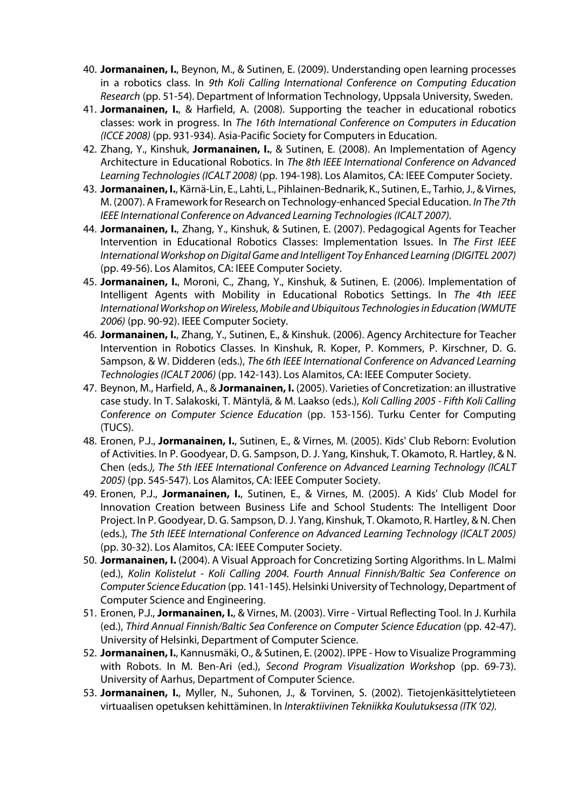- 40. **Jormanainen, I.**, Beynon, M., & Sutinen, E. (2009). Understanding open learning processes in a robotics class. In *9th Koli Calling International Conference on Computing Education Research* (pp. 51-54). Department of Information Technology, Uppsala University, Sweden.
- 41. **Jormanainen, I.**, & Harfield, A. (2008). Supporting the teacher in educational robotics classes: work in progress. In *The 16th International Conference on Computers in Education (ICCE 2008)* (pp. 931-934). Asia-Pacific Society for Computers in Education.
- 42. Zhang, Y., Kinshuk, **Jormanainen, I.**, & Sutinen, E. (2008). An Implementation of Agency Architecture in Educational Robotics. In *The 8th IEEE International Conference on Advanced Learning Technologies (ICALT 2008)* (pp. 194-198). Los Alamitos, CA: IEEE Computer Society.
- 43. **Jormanainen, I.**, Kärnä-Lin, E., Lahti, L., Pihlainen-Bednarik, K., Sutinen, E., Tarhio, J., & Virnes, M. (2007). A Framework for Research on Technology-enhanced Special Education. *In The 7th IEEE International Conference on Advanced Learning Technologies (ICALT 2007).*
- 44. **Jormanainen, I.**, Zhang, Y., Kinshuk, & Sutinen, E. (2007). Pedagogical Agents for Teacher Intervention in Educational Robotics Classes: Implementation Issues. In *The First IEEE International Workshop on Digital Game and Intelligent Toy Enhanced Learning (DIGITEL 2007)* (pp. 49-56). Los Alamitos, CA: IEEE Computer Society.
- 45. **Jormanainen, I.**, Moroni, C., Zhang, Y., Kinshuk, & Sutinen, E. (2006). Implementation of Intelligent Agents with Mobility in Educational Robotics Settings. In *The 4th IEEE International Workshop on Wireless, Mobile and Ubiquitous Technologies in Education (WMUTE 2006)* (pp. 90-92). IEEE Computer Society.
- 46. **Jormanainen, I.**, Zhang, Y., Sutinen, E., & Kinshuk. (2006). Agency Architecture for Teacher Intervention in Robotics Classes. In Kinshuk, R. Koper, P. Kommers, P. Kirschner, D. G. Sampson, & W. Didderen (eds.), *The 6th IEEE International Conference on Advanced Learning Technologies (ICALT 2006)* (pp. 142-143). Los Alamitos, CA: IEEE Computer Society.
- 47. Beynon, M., Harfield, A., & **Jormanainen, I.** (2005). Varieties of Concretization: an illustrative case study. In T. Salakoski, T. Mäntylä, & M. Laakso (eds.), *Koli Calling 2005 - Fifth Koli Calling Conference on Computer Science Education* (pp. 153-156). Turku Center for Computing (TUCS).
- 48. Eronen, P.J., **Jormanainen, I.**, Sutinen, E., & Virnes, M. (2005). Kids' Club Reborn: Evolution of Activities. In P. Goodyear, D. G. Sampson, D. J. Yang, Kinshuk, T. Okamoto, R. Hartley, & N. Chen (eds*.), The 5th IEEE International Conference on Advanced Learning Technology (ICALT 2005)* (pp. 545-547). Los Alamitos, CA: IEEE Computer Society.
- 49. Eronen, P.J., **Jormanainen, I.**, Sutinen, E., & Virnes, M. (2005). A Kids' Club Model for Innovation Creation between Business Life and School Students: The Intelligent Door Project. In P. Goodyear, D. G. Sampson, D. J. Yang, Kinshuk, T. Okamoto, R. Hartley, & N. Chen (eds.), *The 5th IEEE International Conference on Advanced Learning Technology (ICALT 2005)* (pp. 30-32). Los Alamitos, CA: IEEE Computer Society.
- 50. **Jormanainen, I.** (2004). A Visual Approach for Concretizing Sorting Algorithms. In L. Malmi (ed.), *Kolin Kolistelut - Koli Calling 2004. Fourth Annual Finnish/Baltic Sea Conference on Computer Science Education* (pp. 141-145). Helsinki University of Technology, Department of Computer Science and Engineering.
- 51. Eronen, P.J., **Jormanainen, I.**, & Virnes, M. (2003). Virre Virtual Reflecting Tool. In J. Kurhila (ed.), *Third Annual Finnish/Baltic Sea Conference on Computer Science Education* (pp. 42-47). University of Helsinki, Department of Computer Science.
- 52. **Jormanainen, I.**, Kannusmäki, O., & Sutinen, E. (2002). IPPE How to Visualize Programming with Robots. In M. Ben-Ari (ed.), *Second Program Visualization Worksho*p (pp. 69-73). University of Aarhus, Department of Computer Science.
- 53. **Jormanainen, I.**, Myller, N., Suhonen, J., & Torvinen, S. (2002). Tietojenkäsittelytieteen virtuaalisen opetuksen kehittäminen. In *Interaktiivinen Tekniikka Koulutuksessa (ITK '02).*